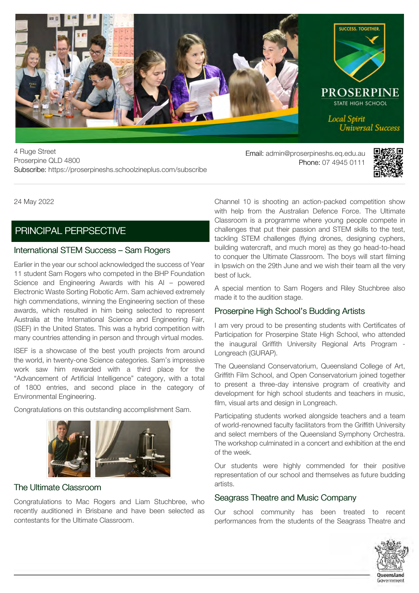

4 Ruge Street Proserpine QLD 4800 Subscribe: https://proserpineshs.schoolzineplus.com/subscribe

Email: admin@proserpineshs.eq.edu.au Phone: 07 4945 0111



24 May 2022

## [PRINCIPAL PERPSECTIVE](https://proserpineshs.schoolzineplus.com/newsletter/article/989?skin=1)

## International STEM Success – Sam Rogers

Earlier in the year our school acknowledged the success of Year 11 student Sam Rogers who competed in the BHP Foundation Science and Engineering Awards with his AI – powered Electronic Waste Sorting Robotic Arm. Sam achieved extremely high commendations, winning the Engineering section of these awards, which resulted in him being selected to represent Australia at the International Science and Engineering Fair, (ISEF) in the United States. This was a hybrid competition with many countries attending in person and through virtual modes.

ISEF is a showcase of the best youth projects from around the world, in twenty-one Science categories. Sam's impressive work saw him rewarded with a third place for the "Advancement of Artificial Intelligence" category, with a total of 1800 entries, and second place in the category of Environmental Engineering.

Congratulations on this outstanding accomplishment Sam.



## The Ultimate Classroom

Congratulations to Mac Rogers and Liam Stuchbree, who recently auditioned in Brisbane and have been selected as contestants for the Ultimate Classroom.

Channel 10 is shooting an action-packed competition show with help from the Australian Defence Force. The Ultimate Classroom is a programme where young people compete in challenges that put their passion and STEM skills to the test, tackling STEM challenges (flying drones, designing cyphers, building watercraft, and much more) as they go head-to-head to conquer the Ultimate Classroom. The boys will start filming in Ipswich on the 29th June and we wish their team all the very best of luck.

A special mention to Sam Rogers and Riley Stuchbree also made it to the audition stage.

## Proserpine High School's Budding Artists

I am very proud to be presenting students with Certificates of Participation for Proserpine State High School, who attended the inaugural Griffith University Regional Arts Program - Longreach (GURAP).

The Queensland Conservatorium, Queensland College of Art, Griffith Film School, and Open Conservatorium joined together to present a three-day intensive program of creativity and development for high school students and teachers in music, film, visual arts and design in Longreach.

Participating students worked alongside teachers and a team of world-renowned faculty facilitators from the Griffith University and select members of the Queensland Symphony Orchestra. The workshop culminated in a concert and exhibition at the end of the week.

Our students were highly commended for their positive representation of our school and themselves as future budding artists.

## Seagrass Theatre and Music Company

Our school community has been treated to recent performances from the students of the Seagrass Theatre and

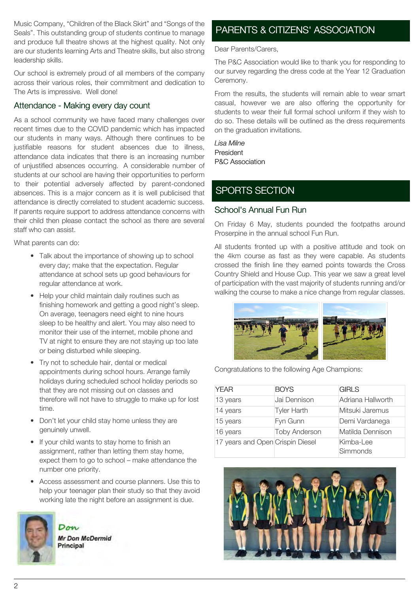Music Company, "Children of the Black Skirt" and "Songs of the Seals". This outstanding group of students continue to manage and produce full theatre shows at the highest quality. Not only are our students learning Arts and Theatre skills, but also strong leadership skills.

Our school is extremely proud of all members of the company across their various roles, their commitment and dedication to The Arts is impressive. Well done!

## Attendance - Making every day count

As a school community we have faced many challenges over recent times due to the COVID pandemic which has impacted our students in many ways. Although there continues to be justifiable reasons for student absences due to illness, attendance data indicates that there is an increasing number of unjustified absences occurring. A considerable number of students at our school are having their opportunities to perform to their potential adversely affected by parent-condoned absences. This is a major concern as it is well publicised that attendance is directly correlated to student academic success. If parents require support to address attendance concerns with their child then please contact the school as there are several staff who can assist.

What parents can do:

- Talk about the importance of showing up to school every day; make that the expectation. Regular attendance at school sets up good behaviours for regular attendance at work.
- Help your child maintain daily routines such as finishing homework and getting a good night's sleep. On average, teenagers need eight to nine hours sleep to be healthy and alert. You may also need to monitor their use of the internet, mobile phone and TV at night to ensure they are not staying up too late or being disturbed while sleeping.
- Try not to schedule hair, dental or medical appointments during school hours. Arrange family holidays during scheduled school holiday periods so that they are not missing out on classes and therefore will not have to struggle to make up for lost time.
- Don't let your child stay home unless they are genuinely unwell.
- If your child wants to stay home to finish an assignment, rather than letting them stay home, expect them to go to school – make attendance the number one priority.
- Access assessment and course planners. Use this to help your teenager plan their study so that they avoid working late the night before an assignment is due.



Mr Don McDermid Principal

 $D_{\alpha}$ 

## [PARENTS & CITIZENS' ASSOCIATION](https://proserpineshs.schoolzineplus.com/newsletter/article/1000?skin=1)

Dear Parents/Carers,

The P&C Association would like to thank you for responding to our survey regarding the dress code at the Year 12 Graduation Ceremony.

From the results, the students will remain able to wear smart casual, however we are also offering the opportunity for students to wear their full formal school uniform if they wish to do so. These details will be outlined as the dress requirements on the graduation invitations.

*Lisa MilneLisa Milne* President P&C Association

# [SPORTS SECTION](https://proserpineshs.schoolzineplus.com/newsletter/article/997?skin=1)

## School's Annual Fun Run

On Friday 6 May, students pounded the footpaths around Proserpine in the annual school Fun Run.

All students fronted up with a positive attitude and took on the 4km course as fast as they were capable. As students crossed the finish line they earned points towards the Cross Country Shield and House Cup. This year we saw a great level of participation with the vast majority of students running and/or walking the course to make a nice change from regular classes.



Congratulations to the following Age Champions:

| <b>YEAR</b>                      | <b>BOYS</b>          | <b>GIRLS</b>          |
|----------------------------------|----------------------|-----------------------|
| 13 years                         | Jai Dennison         | Adriana Hallworth     |
| 14 years                         | <b>Tyler Harth</b>   | Mitsuki Jaremus       |
| 15 years                         | Fyn Gunn             | Demi Vardanega        |
| 16 years                         | <b>Toby Anderson</b> | Matilda Dennison      |
| 17 years and Open Crispin Diesel |                      | Kimba-Lee<br>Simmonds |

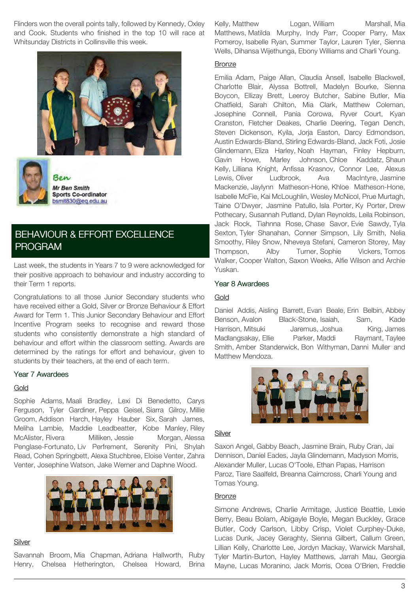Flinders won the overall points tally, followed by Kennedy, Oxley and Cook. Students who finished in the top 10 will race at Whitsunday Districts in Collinsville this week.





Ben Mr Ben Smith **Sports Co-ordinator** bsmit830@eq.edu.au

# [BEHAVIOUR & EFFORT EXCELLENCE](https://proserpineshs.schoolzineplus.com/newsletter/article/995?skin=1) [PROGRAM](https://proserpineshs.schoolzineplus.com/newsletter/article/995?skin=1)

Last week, the students in Years 7 to 9 were acknowledged for their positive approach to behaviour and industry according to their Term 1 reports.

Congratulations to all those Junior Secondary students who have received either a Gold, Silver or Bronze Behaviour & Effort Award for Term 1. This Junior Secondary Behaviour and Effort Incentive Program seeks to recognise and reward those students who consistently demonstrate a high standard of behaviour and effort within the classroom setting. Awards are determined by the ratings for effort and behaviour, given to students by their teachers, at the end of each term.

#### Year 7 Awardees

## Gold

Sophie Adams, Maali Bradley, Lexi Di Benedetto, Carys Ferguson, Tyler Gardiner, Peppa Geisel, Siarra Gilroy, Millie Groom, Addison Harch, Hayley Hauber Six, Sarah James, Meliha Lambie, Maddie Leadbeatter, Kobe Manley, Riley McAlister, Rivera Milliken, Jessie Morgan, Alessa Penglase-Fortunato, Liv Perfrement, Serenity Pini, Shylah Read, Cohen Springbett, Alexa Stuchbree, Eloise Venter, Zahra Venter, Josephine Watson, Jake Werner and Daphne Wood.



#### **Silver**

Savannah Broom, Mia Chapman, Adriana Hallworth, Ruby Henry, Chelsea Hetherington, Chelsea Howard, Brina

Kelly, Matthew Logan, William Marshall, Mia Matthews, Matilda Murphy, Indy Parr, Cooper Parry, Max Pomeroy, Isabelle Ryan, Summer Taylor, Lauren Tyler, Sienna Wells, Dihansa Wijethunga, Ebony Williams and Charli Young.

## **Bronze**

Emilia Adam, Paige Allan, Claudia Ansell, Isabelle Blackwell, Charlotte Blair, Alyssa Bottrell, Madelyn Bourke, Sienna Boycon, Ellizay Brett, Leeroy Butcher, Sabine Butler, Mia Chatfield, Sarah Chilton, Mia Clark, Matthew Coleman, Josephine Connell, Pania Corowa, Ryver Court, Kyan Cranston, Fletcher Deakes, Charlie Deering, Tegan Dench, Steven Dickenson, Kyila, Jorja Easton, Darcy Edmondson, Austin Edwards-Bland, Stirling Edwards-Bland, Jack Foti, Josie Glindemann, Eliza Harley, Noah Hayman, Finley Hepburn, Gavin Howe, Marley Johnson, Chloe Kaddatz, Shaun Kelly, Lilliana Knight, Anfissa Krasnov, Connor Lee, Alexus Lewis, Oliver Ludbrook, Ava MacIntyre, Jasmine Mackenzie, Jaylynn Matheson-Hone, Khloe Matheson-Hone, Isabelle McFie, Kai McLoughlin, Wesley McNicol, Prue Murtagh, Taine O'Dwyer, Jasmine Patullo, Isla Porter, Ky Porter, Drew Pothecary, Susannah Putland, Dylan Reynolds, Leila Robinson, Jack Rock, Tiahnna Rose, Chase Savor, Evie Sawdy, Tyla Sexton, Tyler Shanahan, Conner Simpson, Lily Smith, Nelia Smoothy, Riley Snow, Nheveya Stefani, Cameron Storey, May Thompson, Alby Turner, Sophie Vickers, Tomos Walker, Cooper Walton, Saxon Weeks, Alfie Wilson and Archie Yuskan.

## Year 8 Awardees

#### Gold

Daniel Addis, Aisling Barrett, Evan Beale, Erin Belbin, Abbey Benson, Avalon Black-Stone, Isaiah, Sam, Kade Harrison, Mitsuki Jaremus, Joshua King, James Madlangsakay, Ellie Parker, Maddi Raymant, Taylee Smith, Amber Standerwick, Bon Withyman, Danni Muller and Matthew Mendoza.



#### **Silver**

Saxon Angel, Gabby Beach, Jasmine Brain, Ruby Cran, Jai Dennison, Daniel Eades, Jayla Glindemann, Madyson Morris, Alexander Muller, Lucas O'Toole, Ethan Papas, Harrison Paroz, Tiare Saalfeld, Breanna Cairncross, Charli Young and Tomas Young.

## **Bronze**

Simone Andrews, Charlie Armitage, Justice Beattie, Lexie Berry, Beau Bolam, Abigayle Boyle, Megan Buckley, Grace Butler, Cody Carlson, Libby Crisp, Violet Curphey-Duke, Lucas Dunk, Jacey Geraghty, Sienna Gilbert, Callum Green, Lillian Kelly, Charlotte Lee, Jordyn Mackay, Warwick Marshall, Tyler Martin-Burton, Hayley Matthews, Jarrah Mau, Georgia Mayne, Lucas Moranino, Jack Morris, Ocea O'Brien, Freddie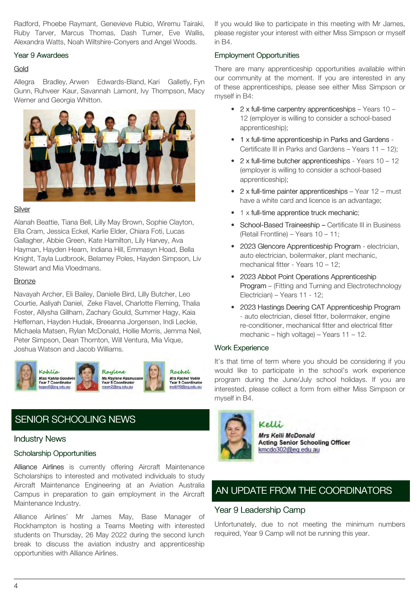Radford, Phoebe Raymant, Genevieve Rubio, Wiremu Tairaki, Ruby Tarver, Marcus Thomas, Dash Turner, Eve Wallis, Alexandra Watts, Noah Wiltshire-Conyers and Angel Woods.

## Year 9 Awardees

## Gold

Allegra Bradley, Arwen Edwards-Bland, Kari Galletly, Fyn Gunn, Ruhveer Kaur, Savannah Lamont, Ivy Thompson, Macy Werner and Georgia Whitton.



## **Silver**

Alanah Beattie, Tiana Bell, Lilly May Brown, Sophie Clayton, Ella Cram, Jessica Eckel, Karlie Elder, Chiara Foti, Lucas Gallagher, Abbie Green, Kate Hamilton, Lily Harvey, Ava Hayman, Hayden Hearn, Indiana Hill, Emmasyn Hoad, Bella Knight, Tayla Ludbrook, Belamey Poles, Hayden Simpson, Liv Stewart and Mia Vloedmans.

## **Bronze**

Navayah Archer, Eli Bailey, Danielle Bird, Lilly Butcher, Leo Courtie, Aaliyah Daniel, Zeke Flavel, Charlotte Fleming, Thalia Foster, Allysha Gillham, Zachary Gould, Summer Hagy, Kaia Heffernan, Hayden Hudak, Breeanna Jorgensen, Indi Leckie, Michaela Matsen, Rylan McDonald, Hollie Morris, Jemma Neil, Peter Simpson, Dean Thornton, Will Ventura, Mia Vique, Joshua Watson and Jacob Williams.



# [SENIOR SCHOOLING NEWS](https://proserpineshs.schoolzineplus.com/newsletter/article/992?skin=1)

## Industry News

## Scholarship Opportunities

Alliance Airlines is currently offering Aircraft Maintenance Scholarships to interested and motivated individuals to study Aircraft Maintenance Engineering at an Aviation Australia Campus in preparation to gain employment in the Aircraft Maintenance Industry.

Alliance Airlines' Mr James May, Base Manager of Rockhampton is hosting a Teams Meeting with interested students on Thursday, 26 May 2022 during the second lunch break to discuss the aviation industry and apprenticeship opportunities with Alliance Airlines.

If you would like to participate in this meeting with Mr James, please register your interest with either Miss Simpson or myself in B4.

## Employment Opportunities

There are many apprenticeship opportunities available within our community at the moment. If you are interested in any of these apprenticeships, please see either Miss Simpson or myself in B4:

- $2 \times$  full-time carpentry apprenticeships Years 10 12 (employer is willing to consider a school-based apprenticeship);
- 1 x full-time apprenticeship in Parks and Gardens -Certificate III in Parks and Gardens – Years 11 – 12);
- $2 \times$  full-time butcher apprenticeships Years 10 12 (employer is willing to consider a school-based apprenticeship);
- $2 \times$  full-time painter apprenticeships Year 12 must have a white card and licence is an advantage;
- $\bullet$  1 x full-time apprentice truck mechanic;
- School-Based Traineeship Certificate III in Business (Retail Frontline) – Years 10 – 11;
- 2023 Glencore Apprenticeship Program electrician, auto electrician, boilermaker, plant mechanic, mechanical fitter - Years 10 – 12;
- 2023 Abbot Point Operations Apprenticeship Program – (Fitting and Turning and Electrotechnology Electrician) – Years 11 - 12;
- 2023 Hastings Deering CAT Apprenticeship Program - auto electrician, diesel fitter, boilermaker, engine re-conditioner, mechanical fitter and electrical fitter mechanic – high voltage) – Years 11 – 12.

## Work Experience

It's that time of term where you should be considering if you would like to participate in the school's work experience program during the June/July school holidays. If you are interested, please collect a form from either Miss Simpson or myself in B4.



## Kelli.

Mrs Kelli McDonald **Acting Senior Schooling Officer** kmcdo302@eq.edu.au

# [AN UPDATE FROM THE COORDINATORS](https://proserpineshs.schoolzineplus.com/newsletter/article/1001?skin=1)

## Year 9 Leadership Camp

Unfortunately, due to not meeting the minimum numbers required, Year 9 Camp will not be running this year.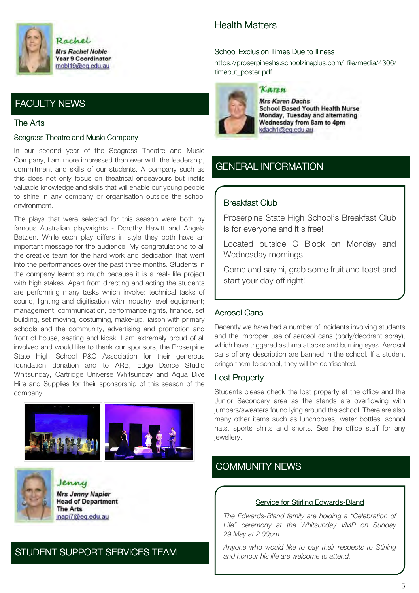

# [FACULTY NEWS](https://proserpineshs.schoolzineplus.com/newsletter/article/999?skin=1)

## The Arts

#### Seagrass Theatre and Music Company

In our second year of the Seagrass Theatre and Music Company, I am more impressed than ever with the leadership, commitment and skills of our students. A company such as this does not only focus on theatrical endeavours but instils valuable knowledge and skills that will enable our young people to shine in any company or organisation outside the school environment.

The plays that were selected for this season were both by famous Australian playwrights - Dorothy Hewitt and Angela Betzien. While each play differs in style they both have an important message for the audience. My congratulations to all the creative team for the hard work and dedication that went into the performances over the past three months. Students in the company learnt so much because it is a real- life project with high stakes. Apart from directing and acting the students are performing many tasks which involve: technical tasks of sound, lighting and digitisation with industry level equipment; management, communication, performance rights, finance, set building, set moving, costuming, make-up, liaison with primary schools and the community, advertising and promotion and front of house, seating and kiosk. I am extremely proud of all involved and would like to thank our sponsors, the Proserpine State High School P&C Association for their generous foundation donation and to ARB, Edge Dance Studio Whitsunday, Cartridge Universe Whitsunday and Aqua Dive Hire and Supplies for their sponsorship of this season of the company.





Jenny **Mrs Jenny Napier Head of Department The Arts** jnapi7@eq.edu.au

## [STUDENT SUPPORT SERVICES TEAM](https://proserpineshs.schoolzineplus.com/newsletter/article/990?skin=1)

## Health Matters

## School Exclusion Times Due to Illness

[https://proserpineshs.schoolzineplus.com/\\_file/media/4306/](https://proserpineshs.schoolzineplus.com/_file/media/4306/timeout_poster.pdf) timeout\_poster.pdf



## Karen

**Mrs Karen Dachs School Based Youth Health Nurse** Monday, Tuesday and alternating Wednesday from 8am to 4pm kdach1@eg.edu.au

## [GENERAL INFORMATION](https://proserpineshs.schoolzineplus.com/newsletter/article/993?skin=1)

## Breakfast Club

Proserpine State High School's Breakfast Club is for everyone and it's free!

Located outside C Block on Monday and Wednesday mornings.

Come and say hi, grab some fruit and toast and start your day off right!

## Aerosol Cans

Recently we have had a number of incidents involving students and the improper use of aerosol cans (body/deodrant spray), which have triggered asthma attacks and burning eyes. Aerosol cans of any description are banned in the school. If a student brings them to school, they will be confiscated.

## Lost Property

Students please check the lost property at the office and the Junior Secondary area as the stands are overflowing with jumpers/sweaters found lying around the school. There are also many other items such as lunchboxes, water bottles, school hats, sports shirts and shorts. See the office staff for any jewellery.

# [COMMUNITY NEWS](https://proserpineshs.schoolzineplus.com/newsletter/article/991?skin=1)

#### Service for Stirling Edwards-Bland

*The Edwards-Bland family are holding a "Celebration of Life" ceremony at the Whitsunday VMR on Sunday 29 May at 2.00pm.*

*Anyone who would like to pay their respects to Stirling and honour his life are welcome to attend.*